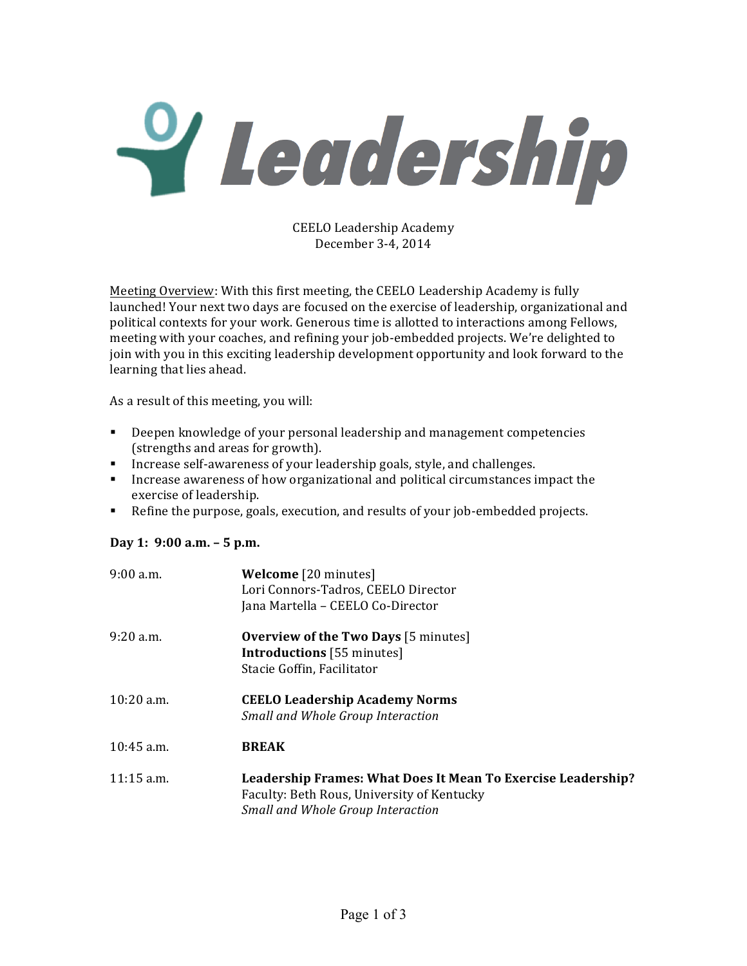Y Leadership

CEELO Leadership Academy December 3-4, 2014

Meeting Overview: With this first meeting, the CEELO Leadership Academy is fully launched! Your next two days are focused on the exercise of leadership, organizational and political contexts for your work. Generous time is allotted to interactions among Fellows, meeting with your coaches, and refining your job-embedded projects. We're delighted to join with you in this exciting leadership development opportunity and look forward to the learning that lies ahead.

As a result of this meeting, you will:

- Deepen knowledge of your personal leadership and management competencies (strengths and areas for growth).
- **•** Increase self-awareness of your leadership goals, style, and challenges.
- **•** Increase awareness of how organizational and political circumstances impact the exercise of leadership.
- Efine the purpose, goals, execution, and results of your job-embedded projects.

## **Day 1: 9:00 a.m. – 5 p.m.**

| $9:00$ a.m.  | <b>Welcome</b> [20 minutes]<br>Lori Connors-Tadros, CEELO Director<br>Jana Martella - CEELO Co-Director                                                |
|--------------|--------------------------------------------------------------------------------------------------------------------------------------------------------|
| $9:20$ a.m.  | <b>Overview of the Two Days</b> [5 minutes]<br><b>Introductions</b> [55 minutes]<br>Stacie Goffin, Facilitator                                         |
| $10:20$ a.m. | <b>CEELO Leadership Academy Norms</b><br>Small and Whole Group Interaction                                                                             |
| $10:45$ a.m. | <b>BREAK</b>                                                                                                                                           |
| $11:15$ a.m. | Leadership Frames: What Does It Mean To Exercise Leadership?<br>Faculty: Beth Rous, University of Kentucky<br><b>Small and Whole Group Interaction</b> |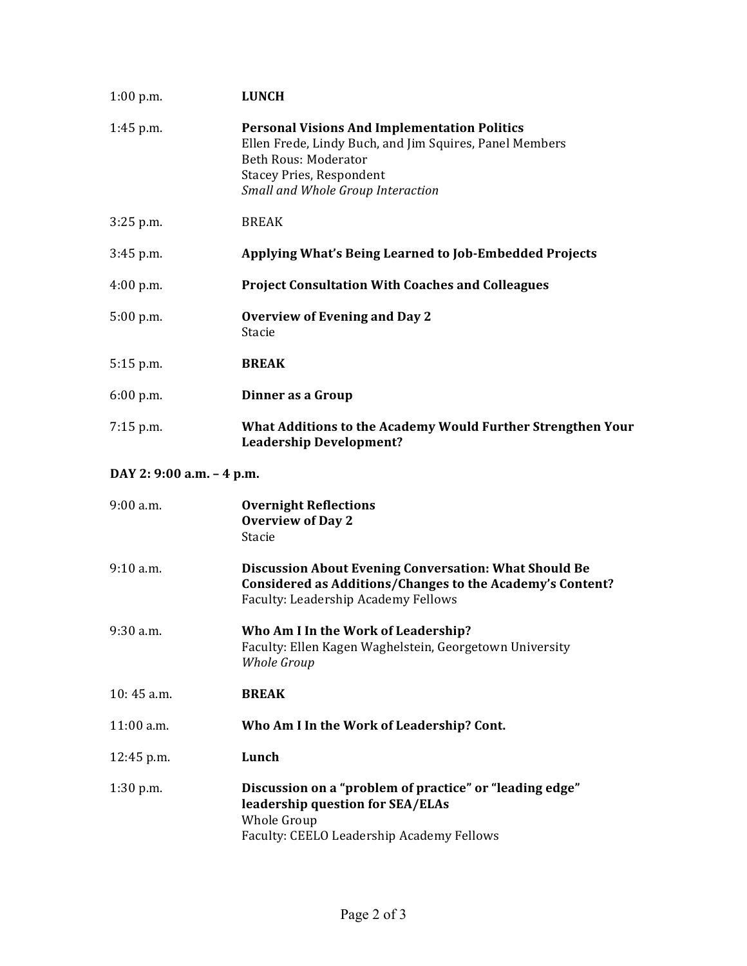| $1:00$ p.m.               | <b>LUNCH</b>                                                                                                                                                                                                          |
|---------------------------|-----------------------------------------------------------------------------------------------------------------------------------------------------------------------------------------------------------------------|
| $1:45$ p.m.               | <b>Personal Visions And Implementation Politics</b><br>Ellen Frede, Lindy Buch, and Jim Squires, Panel Members<br><b>Beth Rous: Moderator</b><br><b>Stacey Pries, Respondent</b><br>Small and Whole Group Interaction |
| $3:25$ p.m.               | <b>BREAK</b>                                                                                                                                                                                                          |
| $3:45$ p.m.               | Applying What's Being Learned to Job-Embedded Projects                                                                                                                                                                |
| 4:00 p.m.                 | <b>Project Consultation With Coaches and Colleagues</b>                                                                                                                                                               |
| $5:00$ p.m.               | <b>Overview of Evening and Day 2</b><br>Stacie                                                                                                                                                                        |
| $5:15$ p.m.               | <b>BREAK</b>                                                                                                                                                                                                          |
| 6:00 p.m.                 | Dinner as a Group                                                                                                                                                                                                     |
| $7:15$ p.m.               | What Additions to the Academy Would Further Strengthen Your<br><b>Leadership Development?</b>                                                                                                                         |
| DAY 2: 9:00 a.m. - 4 p.m. |                                                                                                                                                                                                                       |
| $9:00$ a.m.               | <b>Overnight Reflections</b><br><b>Overview of Day 2</b><br>Stacie                                                                                                                                                    |
| 9:10 a.m.                 | <b>Discussion About Evening Conversation: What Should Be</b><br>Considered as Additions/Changes to the Academy's Content?<br>Faculty: Leadership Academy Fellows                                                      |
| 9:30 a.m.                 | Who Am I In the Work of Leadership?<br>Faculty: Ellen Kagen Waghelstein, Georgetown University<br>Whole Group                                                                                                         |
| $10:45$ a.m.              | <b>BREAK</b>                                                                                                                                                                                                          |
| 11:00 a.m.                | Who Am I In the Work of Leadership? Cont.                                                                                                                                                                             |
| 12:45 p.m.                | Lunch                                                                                                                                                                                                                 |
| $1:30$ p.m.               | Discussion on a "problem of practice" or "leading edge"<br>leadership question for SEA/ELAs<br>Whole Group<br>Faculty: CEELO Leadership Academy Fellows                                                               |